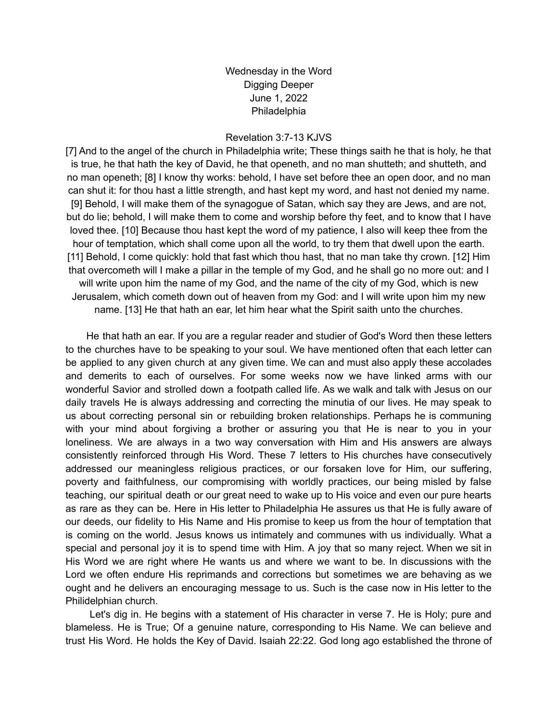Wednesday in the Word Digging Deeper June 1, 2022 Philadelphia

## Revelation 3:7-13 KJVS

[7] And to the angel of the church in Philadelphia write; These things saith he that is holy, he that is true, he that hath the key of David, he that openeth, and no man shutteth; and shutteth, and no man openeth; [8] I know thy works: behold, I have set before thee an open door, and no man can shut it: for thou hast a little strength, and hast kept my word, and hast not denied my name. [9] Behold, I will make them of the synagogue of Satan, which say they are Jews, and are not, but do lie; behold, I will make them to come and worship before thy feet, and to know that I have loved thee. [10] Because thou hast kept the word of my patience, I also will keep thee from the hour of temptation, which shall come upon all the world, to try them that dwell upon the earth. [11] Behold, I come quickly: hold that fast which thou hast, that no man take thy crown. [12] Him that overcometh will I make a pillar in the temple of my God, and he shall go no more out: and I will write upon him the name of my God, and the name of the city of my God, which is new Jerusalem, which cometh down out of heaven from my God: and I will write upon him my new name. [13] He that hath an ear, let him hear what the Spirit saith unto the churches.

He that hath an ear. If you are a regular reader and studier of God's Word then these letters to the churches have to be speaking to your soul. We have mentioned often that each letter can be applied to any given church at any given time. We can and must also apply these accolades and demerits to each of ourselves. For some weeks now we have linked arms with our wonderful Savior and strolled down a footpath called life. As we walk and talk with Jesus on our daily travels He is always addressing and correcting the minutia of our lives. He may speak to us about correcting personal sin or rebuilding broken relationships. Perhaps he is communing with your mind about forgiving a brother or assuring you that He is near to you in your loneliness. We are always in a two way conversation with Him and His answers are always consistently reinforced through His Word. These 7 letters to His churches have consecutively addressed our meaningless religious practices, or our forsaken love for Him, our suffering, poverty and faithfulness, our compromising with worldly practices, our being misled by false teaching, our spiritual death or our great need to wake up to His voice and even our pure hearts as rare as they can be. Here in His letter to Philadelphia He assures us that He is fully aware of our deeds, our fidelity to His Name and His promise to keep us from the hour of temptation that is coming on the world. Jesus knows us intimately and communes with us individually. What a special and personal joy it is to spend time with Him. A joy that so many reject. When we sit in His Word we are right where He wants us and where we want to be. In discussions with the Lord we often endure His reprimands and corrections but sometimes we are behaving as we ought and he delivers an encouraging message to us. Such is the case now in His letter to the Philidelphian church.

Let's dig in. He begins with a statement of His character in verse 7. He is Holy; pure and blameless. He is True; Of a genuine nature, corresponding to His Name. We can believe and trust His Word. He holds the Key of David. Isaiah 22:22. God long ago established the throne of